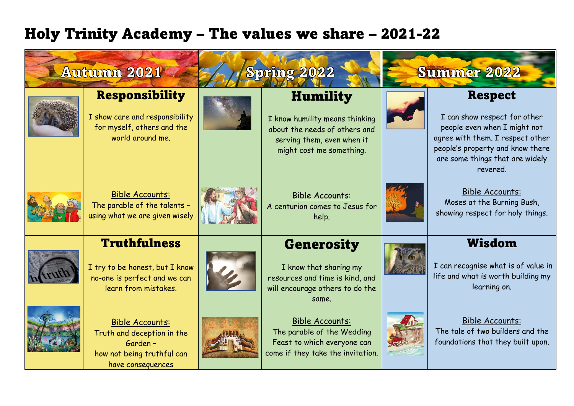# Holy Trinity Academy – The values we share – 2021-22